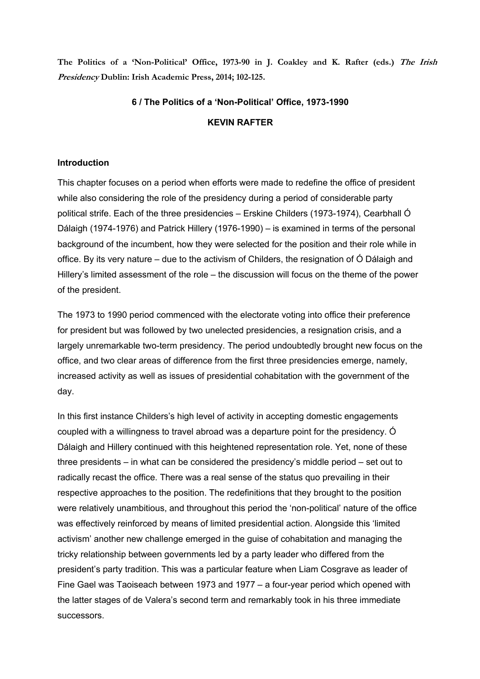**The Politics of a 'Non-Political' Office, 1973-90 in J. Coakley and K. Rafter (eds.) The Irish Presidency Dublin: Irish Academic Press, 2014; 102-125.**

# **6 / The Politics of a 'Non-Political' Office, 1973-1990 KEVIN RAFTER**

# **Introduction**

This chapter focuses on a period when efforts were made to redefine the office of president while also considering the role of the presidency during a period of considerable party political strife. Each of the three presidencies – Erskine Childers (1973-1974), Cearbhall Ó Dálaigh (1974-1976) and Patrick Hillery (1976-1990) – is examined in terms of the personal background of the incumbent, how they were selected for the position and their role while in office. By its very nature – due to the activism of Childers, the resignation of Ó Dálaigh and Hillery's limited assessment of the role – the discussion will focus on the theme of the power of the president.

The 1973 to 1990 period commenced with the electorate voting into office their preference for president but was followed by two unelected presidencies, a resignation crisis, and a largely unremarkable two-term presidency. The period undoubtedly brought new focus on the office, and two clear areas of difference from the first three presidencies emerge, namely, increased activity as well as issues of presidential cohabitation with the government of the day.

In this first instance Childers's high level of activity in accepting domestic engagements coupled with a willingness to travel abroad was a departure point for the presidency. Ó Dálaigh and Hillery continued with this heightened representation role. Yet, none of these three presidents – in what can be considered the presidency's middle period – set out to radically recast the office. There was a real sense of the status quo prevailing in their respective approaches to the position. The redefinitions that they brought to the position were relatively unambitious, and throughout this period the 'non-political' nature of the office was effectively reinforced by means of limited presidential action. Alongside this 'limited activism' another new challenge emerged in the guise of cohabitation and managing the tricky relationship between governments led by a party leader who differed from the president's party tradition. This was a particular feature when Liam Cosgrave as leader of Fine Gael was Taoiseach between 1973 and 1977 – a four-year period which opened with the latter stages of de Valera's second term and remarkably took in his three immediate successors.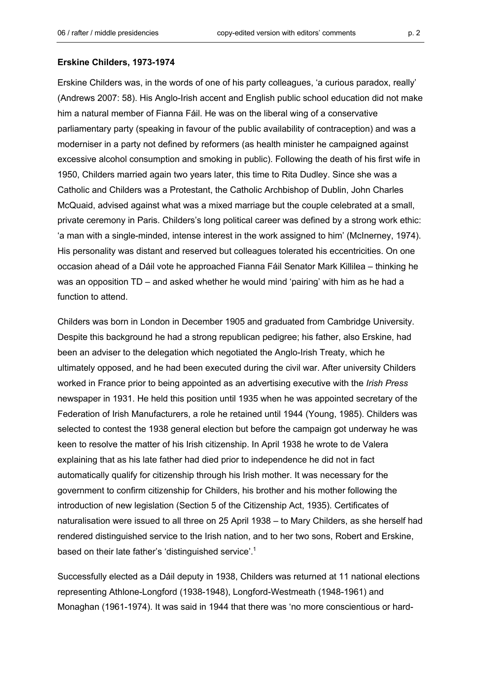## **Erskine Childers, 1973-1974**

Erskine Childers was, in the words of one of his party colleagues, 'a curious paradox, really' (Andrews 2007: 58). His Anglo-Irish accent and English public school education did not make him a natural member of Fianna Fáil. He was on the liberal wing of a conservative parliamentary party (speaking in favour of the public availability of contraception) and was a moderniser in a party not defined by reformers (as health minister he campaigned against excessive alcohol consumption and smoking in public). Following the death of his first wife in 1950, Childers married again two years later, this time to Rita Dudley. Since she was a Catholic and Childers was a Protestant, the Catholic Archbishop of Dublin, John Charles McQuaid, advised against what was a mixed marriage but the couple celebrated at a small, private ceremony in Paris. Childers's long political career was defined by a strong work ethic: 'a man with a single-minded, intense interest in the work assigned to him' (McInerney, 1974). His personality was distant and reserved but colleagues tolerated his eccentricities. On one occasion ahead of a Dáil vote he approached Fianna Fáil Senator Mark Killilea – thinking he was an opposition TD – and asked whether he would mind 'pairing' with him as he had a function to attend.

Childers was born in London in December 1905 and graduated from Cambridge University. Despite this background he had a strong republican pedigree; his father, also Erskine, had been an adviser to the delegation which negotiated the Anglo-Irish Treaty, which he ultimately opposed, and he had been executed during the civil war. After university Childers worked in France prior to being appointed as an advertising executive with the *Irish Press* newspaper in 1931. He held this position until 1935 when he was appointed secretary of the Federation of Irish Manufacturers, a role he retained until 1944 (Young, 1985). Childers was selected to contest the 1938 general election but before the campaign got underway he was keen to resolve the matter of his Irish citizenship. In April 1938 he wrote to de Valera explaining that as his late father had died prior to independence he did not in fact automatically qualify for citizenship through his Irish mother. It was necessary for the government to confirm citizenship for Childers, his brother and his mother following the introduction of new legislation (Section 5 of the Citizenship Act, 1935). Certificates of naturalisation were issued to all three on 25 April 1938 – to Mary Childers, as she herself had rendered distinguished service to the Irish nation, and to her two sons, Robert and Erskine, based on their late father's 'distinguished service'.<sup>1</sup>

Successfully elected as a Dáil deputy in 1938, Childers was returned at 11 national elections representing Athlone-Longford (1938-1948), Longford-Westmeath (1948-1961) and Monaghan (1961-1974). It was said in 1944 that there was 'no more conscientious or hard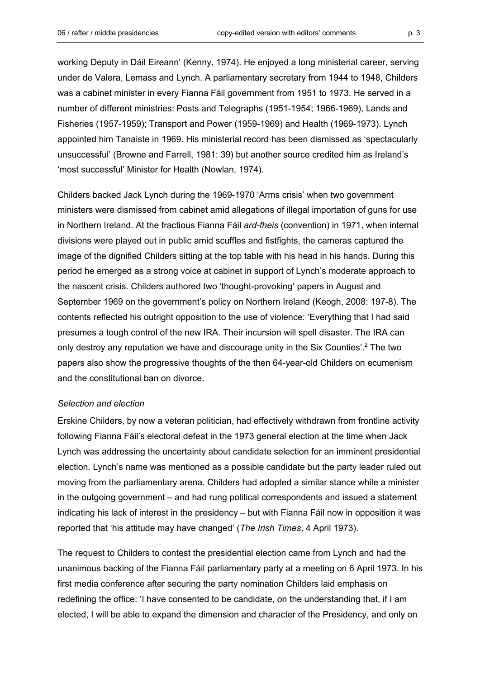'most successful' Minister for Health (Nowlan, 1974).

working Deputy in Dáil Eireann' (Kenny, 1974). He enjoyed a long ministerial career, serving under de Valera, Lemass and Lynch. A parliamentary secretary from 1944 to 1948, Childers was a cabinet minister in every Fianna Fáil government from 1951 to 1973. He served in a number of different ministries: Posts and Telegraphs (1951-1954; 1966-1969), Lands and Fisheries (1957-1959); Transport and Power (1959-1969) and Health (1969-1973). Lynch appointed him Tanaiste in 1969. His ministerial record has been dismissed as 'spectacularly unsuccessful' (Browne and Farrell, 1981: 39) but another source credited him as Ireland's

Childers backed Jack Lynch during the 1969-1970 'Arms crisis' when two government ministers were dismissed from cabinet amid allegations of illegal importation of guns for use in Northern Ireland. At the fractious Fianna Fáil *ard-fheis* (convention) in 1971, when internal divisions were played out in public amid scuffles and fistfights, the cameras captured the image of the dignified Childers sitting at the top table with his head in his hands. During this period he emerged as a strong voice at cabinet in support of Lynch's moderate approach to the nascent crisis. Childers authored two 'thought-provoking' papers in August and September 1969 on the government's policy on Northern Ireland (Keogh, 2008: 197-8). The contents reflected his outright opposition to the use of violence: 'Everything that I had said presumes a tough control of the new IRA. Their incursion will spell disaster. The IRA can only destroy any reputation we have and discourage unity in the Six Counties'.<sup>2</sup> The two papers also show the progressive thoughts of the then 64-year-old Childers on ecumenism and the constitutional ban on divorce.

# *Selection and election*

Erskine Childers, by now a veteran politician, had effectively withdrawn from frontline activity following Fianna Fáil's electoral defeat in the 1973 general election at the time when Jack Lynch was addressing the uncertainty about candidate selection for an imminent presidential election. Lynch's name was mentioned as a possible candidate but the party leader ruled out moving from the parliamentary arena. Childers had adopted a similar stance while a minister in the outgoing government – and had rung political correspondents and issued a statement indicating his lack of interest in the presidency – but with Fianna Fáil now in opposition it was reported that 'his attitude may have changed' (*The Irish Times*, 4 April 1973).

The request to Childers to contest the presidential election came from Lynch and had the unanimous backing of the Fianna Fáil parliamentary party at a meeting on 6 April 1973. In his first media conference after securing the party nomination Childers laid emphasis on redefining the office: 'I have consented to be candidate, on the understanding that, if I am elected, I will be able to expand the dimension and character of the Presidency, and only on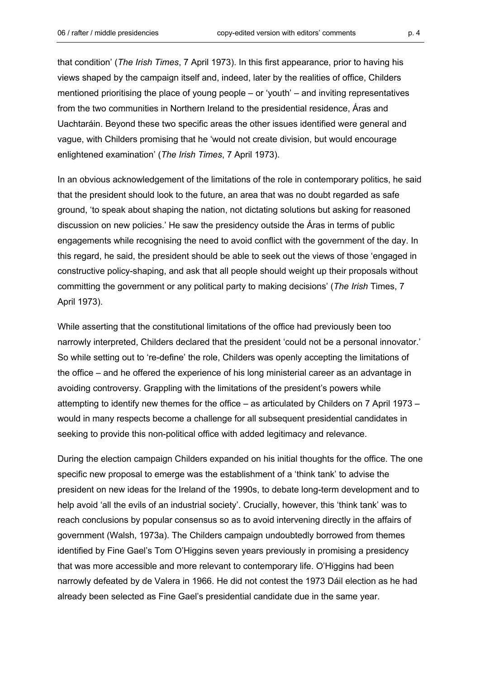that condition' (*The Irish Times*, 7 April 1973). In this first appearance, prior to having his views shaped by the campaign itself and, indeed, later by the realities of office, Childers mentioned prioritising the place of young people – or 'youth' – and inviting representatives from the two communities in Northern Ireland to the presidential residence, Áras and Uachtaráin. Beyond these two specific areas the other issues identified were general and vague, with Childers promising that he 'would not create division, but would encourage enlightened examination' (*The Irish Times*, 7 April 1973).

In an obvious acknowledgement of the limitations of the role in contemporary politics, he said that the president should look to the future, an area that was no doubt regarded as safe ground, 'to speak about shaping the nation, not dictating solutions but asking for reasoned discussion on new policies.' He saw the presidency outside the Áras in terms of public engagements while recognising the need to avoid conflict with the government of the day. In this regard, he said, the president should be able to seek out the views of those 'engaged in constructive policy-shaping, and ask that all people should weight up their proposals without committing the government or any political party to making decisions' (*The Irish* Times, 7 April 1973).

While asserting that the constitutional limitations of the office had previously been too narrowly interpreted, Childers declared that the president 'could not be a personal innovator.' So while setting out to 're-define' the role, Childers was openly accepting the limitations of the office – and he offered the experience of his long ministerial career as an advantage in avoiding controversy. Grappling with the limitations of the president's powers while attempting to identify new themes for the office – as articulated by Childers on 7 April 1973 – would in many respects become a challenge for all subsequent presidential candidates in seeking to provide this non-political office with added legitimacy and relevance.

During the election campaign Childers expanded on his initial thoughts for the office. The one specific new proposal to emerge was the establishment of a 'think tank' to advise the president on new ideas for the Ireland of the 1990s, to debate long-term development and to help avoid 'all the evils of an industrial society'. Crucially, however, this 'think tank' was to reach conclusions by popular consensus so as to avoid intervening directly in the affairs of government (Walsh, 1973a). The Childers campaign undoubtedly borrowed from themes identified by Fine Gael's Tom O'Higgins seven years previously in promising a presidency that was more accessible and more relevant to contemporary life. O'Higgins had been narrowly defeated by de Valera in 1966. He did not contest the 1973 Dáil election as he had already been selected as Fine Gael's presidential candidate due in the same year.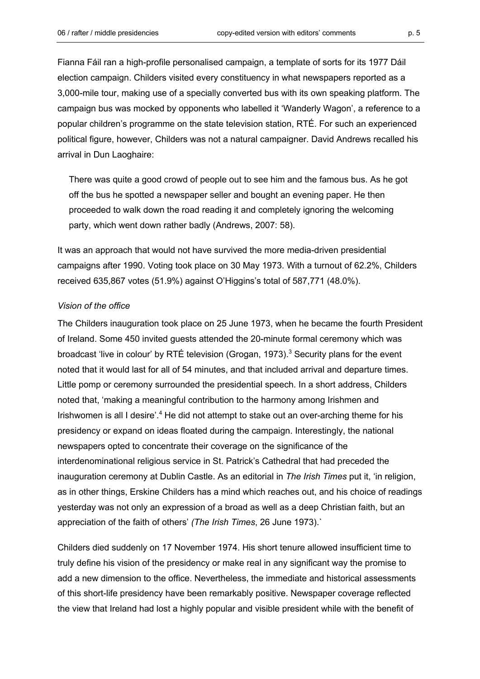Fianna Fáil ran a high-profile personalised campaign, a template of sorts for its 1977 Dáil election campaign. Childers visited every constituency in what newspapers reported as a 3,000-mile tour, making use of a specially converted bus with its own speaking platform. The campaign bus was mocked by opponents who labelled it 'Wanderly Wagon', a reference to a popular children's programme on the state television station, RTÉ. For such an experienced political figure, however, Childers was not a natural campaigner. David Andrews recalled his arrival in Dun Laoghaire:

There was quite a good crowd of people out to see him and the famous bus. As he got off the bus he spotted a newspaper seller and bought an evening paper. He then proceeded to walk down the road reading it and completely ignoring the welcoming party, which went down rather badly (Andrews, 2007: 58).

It was an approach that would not have survived the more media-driven presidential campaigns after 1990. Voting took place on 30 May 1973. With a turnout of 62.2%, Childers received 635,867 votes (51.9%) against O'Higgins's total of 587,771 (48.0%).

# *Vision of the office*

The Childers inauguration took place on 25 June 1973, when he became the fourth President of Ireland. Some 450 invited guests attended the 20-minute formal ceremony which was broadcast 'live in colour' by RTÉ television (Grogan, 1973). $3$  Security plans for the event noted that it would last for all of 54 minutes, and that included arrival and departure times. Little pomp or ceremony surrounded the presidential speech. In a short address, Childers noted that, 'making a meaningful contribution to the harmony among Irishmen and Irishwomen is all I desire'.<sup>4</sup> He did not attempt to stake out an over-arching theme for his presidency or expand on ideas floated during the campaign. Interestingly, the national newspapers opted to concentrate their coverage on the significance of the interdenominational religious service in St. Patrick's Cathedral that had preceded the inauguration ceremony at Dublin Castle. As an editorial in *The Irish Times* put it, 'in religion, as in other things, Erskine Childers has a mind which reaches out, and his choice of readings yesterday was not only an expression of a broad as well as a deep Christian faith, but an appreciation of the faith of others' *(The Irish Times*, 26 June 1973).`

Childers died suddenly on 17 November 1974. His short tenure allowed insufficient time to truly define his vision of the presidency or make real in any significant way the promise to add a new dimension to the office. Nevertheless, the immediate and historical assessments of this short-life presidency have been remarkably positive. Newspaper coverage reflected the view that Ireland had lost a highly popular and visible president while with the benefit of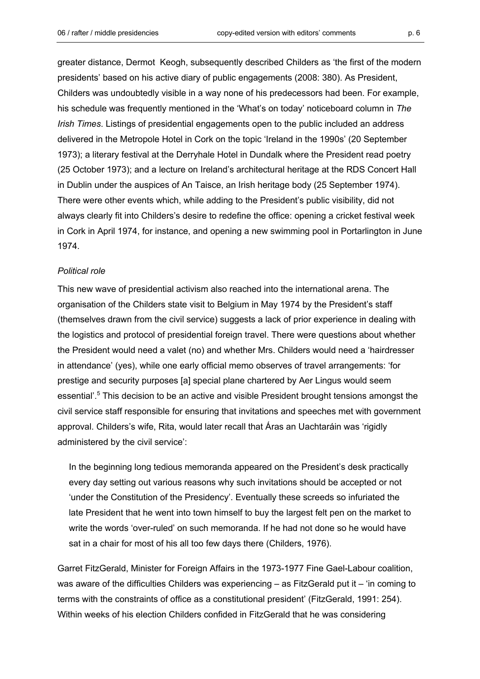Childers was undoubtedly visible in a way none of his predecessors had been. For example, his schedule was frequently mentioned in the 'What's on today' noticeboard column in *The Irish Times*. Listings of presidential engagements open to the public included an address delivered in the Metropole Hotel in Cork on the topic 'Ireland in the 1990s' (20 September 1973); a literary festival at the Derryhale Hotel in Dundalk where the President read poetry (25 October 1973); and a lecture on Ireland's architectural heritage at the RDS Concert Hall in Dublin under the auspices of An Taisce, an Irish heritage body (25 September 1974). There were other events which, while adding to the President's public visibility, did not always clearly fit into Childers's desire to redefine the office: opening a cricket festival week in Cork in April 1974, for instance, and opening a new swimming pool in Portarlington in June 1974.

# *Political role*

This new wave of presidential activism also reached into the international arena. The organisation of the Childers state visit to Belgium in May 1974 by the President's staff (themselves drawn from the civil service) suggests a lack of prior experience in dealing with the logistics and protocol of presidential foreign travel. There were questions about whether the President would need a valet (no) and whether Mrs. Childers would need a 'hairdresser in attendance' (yes), while one early official memo observes of travel arrangements: 'for prestige and security purposes [a] special plane chartered by Aer Lingus would seem essential'.<sup>5</sup> This decision to be an active and visible President brought tensions amongst the civil service staff responsible for ensuring that invitations and speeches met with government approval. Childers's wife, Rita, would later recall that Áras an Uachtaráin was 'rigidly administered by the civil service':

In the beginning long tedious memoranda appeared on the President's desk practically every day setting out various reasons why such invitations should be accepted or not 'under the Constitution of the Presidency'. Eventually these screeds so infuriated the late President that he went into town himself to buy the largest felt pen on the market to write the words 'over-ruled' on such memoranda. If he had not done so he would have sat in a chair for most of his all too few days there (Childers, 1976).

Garret FitzGerald, Minister for Foreign Affairs in the 1973-1977 Fine Gael-Labour coalition, was aware of the difficulties Childers was experiencing – as FitzGerald put it – 'in coming to terms with the constraints of office as a constitutional president' (FitzGerald, 1991: 254). Within weeks of his election Childers confided in FitzGerald that he was considering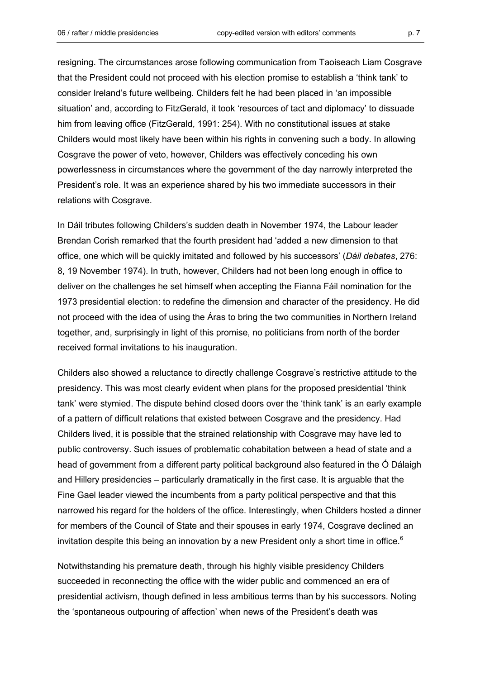resigning. The circumstances arose following communication from Taoiseach Liam Cosgrave that the President could not proceed with his election promise to establish a 'think tank' to consider Ireland's future wellbeing. Childers felt he had been placed in 'an impossible situation' and, according to FitzGerald, it took 'resources of tact and diplomacy' to dissuade him from leaving office (FitzGerald, 1991: 254). With no constitutional issues at stake Childers would most likely have been within his rights in convening such a body. In allowing Cosgrave the power of veto, however, Childers was effectively conceding his own powerlessness in circumstances where the government of the day narrowly interpreted the President's role. It was an experience shared by his two immediate successors in their relations with Cosgrave.

In Dáil tributes following Childers's sudden death in November 1974, the Labour leader Brendan Corish remarked that the fourth president had 'added a new dimension to that office, one which will be quickly imitated and followed by his successors' (*Dáil debates*, 276: 8, 19 November 1974). In truth, however, Childers had not been long enough in office to deliver on the challenges he set himself when accepting the Fianna Fáil nomination for the 1973 presidential election: to redefine the dimension and character of the presidency. He did not proceed with the idea of using the Áras to bring the two communities in Northern Ireland together, and, surprisingly in light of this promise, no politicians from north of the border received formal invitations to his inauguration.

Childers also showed a reluctance to directly challenge Cosgrave's restrictive attitude to the presidency. This was most clearly evident when plans for the proposed presidential 'think tank' were stymied. The dispute behind closed doors over the 'think tank' is an early example of a pattern of difficult relations that existed between Cosgrave and the presidency. Had Childers lived, it is possible that the strained relationship with Cosgrave may have led to public controversy. Such issues of problematic cohabitation between a head of state and a head of government from a different party political background also featured in the Ó Dálaigh and Hillery presidencies – particularly dramatically in the first case. It is arguable that the Fine Gael leader viewed the incumbents from a party political perspective and that this narrowed his regard for the holders of the office. Interestingly, when Childers hosted a dinner for members of the Council of State and their spouses in early 1974, Cosgrave declined an invitation despite this being an innovation by a new President only a short time in office.<sup>6</sup>

Notwithstanding his premature death, through his highly visible presidency Childers succeeded in reconnecting the office with the wider public and commenced an era of presidential activism, though defined in less ambitious terms than by his successors. Noting the 'spontaneous outpouring of affection' when news of the President's death was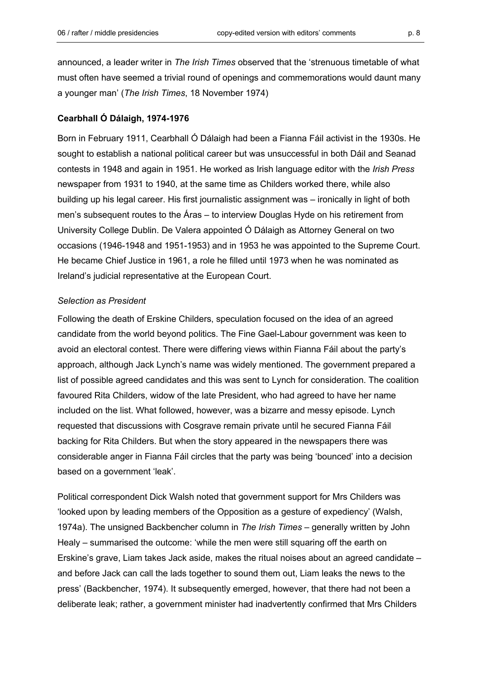announced, a leader writer in *The Irish Times* observed that the 'strenuous timetable of what must often have seemed a trivial round of openings and commemorations would daunt many a younger man' (*The Irish Times*, 18 November 1974)

# **Cearbhall Ó Dálaigh, 1974-1976**

Born in February 1911, Cearbhall Ó Dálaigh had been a Fianna Fáil activist in the 1930s. He sought to establish a national political career but was unsuccessful in both Dáil and Seanad contests in 1948 and again in 1951. He worked as Irish language editor with the *Irish Press* newspaper from 1931 to 1940, at the same time as Childers worked there, while also building up his legal career. His first journalistic assignment was – ironically in light of both men's subsequent routes to the Áras – to interview Douglas Hyde on his retirement from University College Dublin. De Valera appointed Ó Dálaigh as Attorney General on two occasions (1946-1948 and 1951-1953) and in 1953 he was appointed to the Supreme Court. He became Chief Justice in 1961, a role he filled until 1973 when he was nominated as Ireland's judicial representative at the European Court.

#### *Selection as President*

Following the death of Erskine Childers, speculation focused on the idea of an agreed candidate from the world beyond politics. The Fine Gael-Labour government was keen to avoid an electoral contest. There were differing views within Fianna Fáil about the party's approach, although Jack Lynch's name was widely mentioned. The government prepared a list of possible agreed candidates and this was sent to Lynch for consideration. The coalition favoured Rita Childers, widow of the late President, who had agreed to have her name included on the list. What followed, however, was a bizarre and messy episode. Lynch requested that discussions with Cosgrave remain private until he secured Fianna Fáil backing for Rita Childers. But when the story appeared in the newspapers there was considerable anger in Fianna Fáil circles that the party was being 'bounced' into a decision based on a government 'leak'.

Political correspondent Dick Walsh noted that government support for Mrs Childers was 'looked upon by leading members of the Opposition as a gesture of expediency' (Walsh, 1974a). The unsigned Backbencher column in *The Irish Times* – generally written by John Healy – summarised the outcome: 'while the men were still squaring off the earth on Erskine's grave, Liam takes Jack aside, makes the ritual noises about an agreed candidate – and before Jack can call the lads together to sound them out, Liam leaks the news to the press' (Backbencher, 1974). It subsequently emerged, however, that there had not been a deliberate leak; rather, a government minister had inadvertently confirmed that Mrs Childers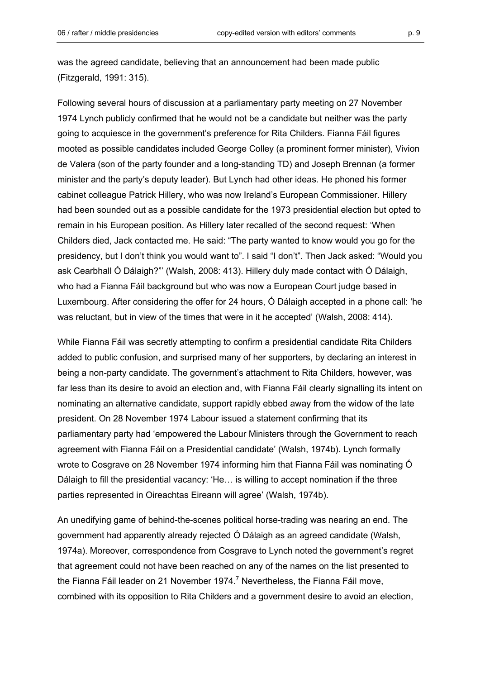was the agreed candidate, believing that an announcement had been made public (Fitzgerald, 1991: 315).

Following several hours of discussion at a parliamentary party meeting on 27 November 1974 Lynch publicly confirmed that he would not be a candidate but neither was the party going to acquiesce in the government's preference for Rita Childers. Fianna Fáil figures mooted as possible candidates included George Colley (a prominent former minister), Vivion de Valera (son of the party founder and a long-standing TD) and Joseph Brennan (a former minister and the party's deputy leader). But Lynch had other ideas. He phoned his former cabinet colleague Patrick Hillery, who was now Ireland's European Commissioner. Hillery had been sounded out as a possible candidate for the 1973 presidential election but opted to remain in his European position. As Hillery later recalled of the second request: 'When Childers died, Jack contacted me. He said: "The party wanted to know would you go for the presidency, but I don't think you would want to". I said "I don't". Then Jack asked: "Would you ask Cearbhall Ó Dálaigh?"' (Walsh, 2008: 413). Hillery duly made contact with Ó Dálaigh, who had a Fianna Fáil background but who was now a European Court judge based in Luxembourg. After considering the offer for 24 hours, Ó Dálaigh accepted in a phone call: 'he was reluctant, but in view of the times that were in it he accepted' (Walsh, 2008: 414).

While Fianna Fáil was secretly attempting to confirm a presidential candidate Rita Childers added to public confusion, and surprised many of her supporters, by declaring an interest in being a non-party candidate. The government's attachment to Rita Childers, however, was far less than its desire to avoid an election and, with Fianna Fáil clearly signalling its intent on nominating an alternative candidate, support rapidly ebbed away from the widow of the late president. On 28 November 1974 Labour issued a statement confirming that its parliamentary party had 'empowered the Labour Ministers through the Government to reach agreement with Fianna Fáil on a Presidential candidate' (Walsh, 1974b). Lynch formally wrote to Cosgrave on 28 November 1974 informing him that Fianna Fáil was nominating Ó Dálaigh to fill the presidential vacancy: 'He… is willing to accept nomination if the three parties represented in Oireachtas Eireann will agree' (Walsh, 1974b).

An unedifying game of behind-the-scenes political horse-trading was nearing an end. The government had apparently already rejected Ó Dálaigh as an agreed candidate (Walsh, 1974a). Moreover, correspondence from Cosgrave to Lynch noted the government's regret that agreement could not have been reached on any of the names on the list presented to the Fianna Fáil leader on 21 November 1974.<sup>7</sup> Nevertheless, the Fianna Fáil move, combined with its opposition to Rita Childers and a government desire to avoid an election,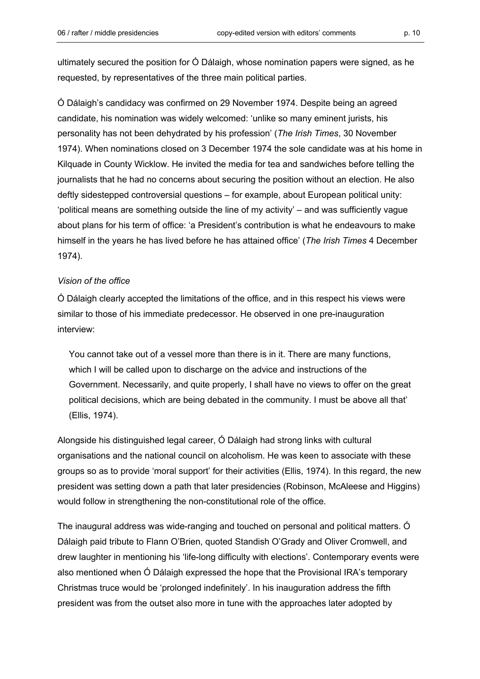ultimately secured the position for Ó Dálaigh, whose nomination papers were signed, as he requested, by representatives of the three main political parties.

Ó Dálaigh's candidacy was confirmed on 29 November 1974. Despite being an agreed candidate, his nomination was widely welcomed: 'unlike so many eminent jurists, his personality has not been dehydrated by his profession' (*The Irish Times*, 30 November 1974). When nominations closed on 3 December 1974 the sole candidate was at his home in Kilquade in County Wicklow. He invited the media for tea and sandwiches before telling the journalists that he had no concerns about securing the position without an election. He also deftly sidestepped controversial questions – for example, about European political unity: 'political means are something outside the line of my activity' – and was sufficiently vague about plans for his term of office: 'a President's contribution is what he endeavours to make himself in the years he has lived before he has attained office' (*The Irish Times* 4 December 1974).

# *Vision of the office*

Ó Dálaigh clearly accepted the limitations of the office, and in this respect his views were similar to those of his immediate predecessor. He observed in one pre-inauguration interview:

You cannot take out of a vessel more than there is in it. There are many functions, which I will be called upon to discharge on the advice and instructions of the Government. Necessarily, and quite properly, I shall have no views to offer on the great political decisions, which are being debated in the community. I must be above all that' (Ellis, 1974).

Alongside his distinguished legal career, Ó Dálaigh had strong links with cultural organisations and the national council on alcoholism. He was keen to associate with these groups so as to provide 'moral support' for their activities (Ellis, 1974). In this regard, the new president was setting down a path that later presidencies (Robinson, McAleese and Higgins) would follow in strengthening the non-constitutional role of the office.

The inaugural address was wide-ranging and touched on personal and political matters. Ó Dálaigh paid tribute to Flann O'Brien, quoted Standish O'Grady and Oliver Cromwell, and drew laughter in mentioning his 'life-long difficulty with elections'. Contemporary events were also mentioned when Ó Dálaigh expressed the hope that the Provisional IRA's temporary Christmas truce would be 'prolonged indefinitely'. In his inauguration address the fifth president was from the outset also more in tune with the approaches later adopted by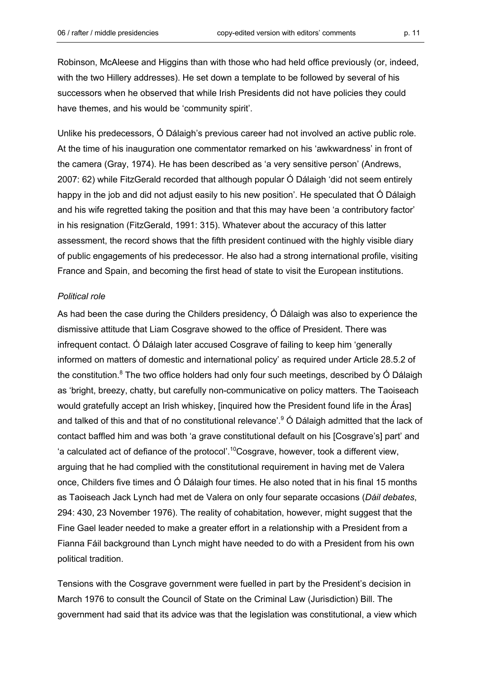Robinson, McAleese and Higgins than with those who had held office previously (or, indeed, with the two Hillery addresses). He set down a template to be followed by several of his successors when he observed that while Irish Presidents did not have policies they could have themes, and his would be 'community spirit'.

Unlike his predecessors, Ó Dálaigh's previous career had not involved an active public role. At the time of his inauguration one commentator remarked on his 'awkwardness' in front of the camera (Gray, 1974). He has been described as 'a very sensitive person' (Andrews, 2007: 62) while FitzGerald recorded that although popular Ó Dálaigh 'did not seem entirely happy in the job and did not adjust easily to his new position'. He speculated that Ó Dálaigh and his wife regretted taking the position and that this may have been 'a contributory factor' in his resignation (FitzGerald, 1991: 315). Whatever about the accuracy of this latter assessment, the record shows that the fifth president continued with the highly visible diary of public engagements of his predecessor. He also had a strong international profile, visiting France and Spain, and becoming the first head of state to visit the European institutions.

# *Political role*

As had been the case during the Childers presidency, Ó Dálaigh was also to experience the dismissive attitude that Liam Cosgrave showed to the office of President. There was infrequent contact. Ó Dálaigh later accused Cosgrave of failing to keep him 'generally informed on matters of domestic and international policy' as required under Article 28.5.2 of the constitution.<sup>8</sup> The two office holders had only four such meetings, described by  $\acute{o}$  Dálaigh as 'bright, breezy, chatty, but carefully non-communicative on policy matters. The Taoiseach would gratefully accept an Irish whiskey, [inquired how the President found life in the Áras] and talked of this and that of no constitutional relevance'.<sup>9</sup> Ó Dálaigh admitted that the lack of contact baffled him and was both 'a grave constitutional default on his [Cosgrave's] part' and 'a calculated act of defiance of the protocol'.<sup>10</sup>Cosgrave, however, took a different view, arguing that he had complied with the constitutional requirement in having met de Valera once, Childers five times and Ó Dálaigh four times. He also noted that in his final 15 months as Taoiseach Jack Lynch had met de Valera on only four separate occasions (*Dáil debates*, 294: 430, 23 November 1976). The reality of cohabitation, however, might suggest that the Fine Gael leader needed to make a greater effort in a relationship with a President from a Fianna Fáil background than Lynch might have needed to do with a President from his own political tradition.

Tensions with the Cosgrave government were fuelled in part by the President's decision in March 1976 to consult the Council of State on the Criminal Law (Jurisdiction) Bill. The government had said that its advice was that the legislation was constitutional, a view which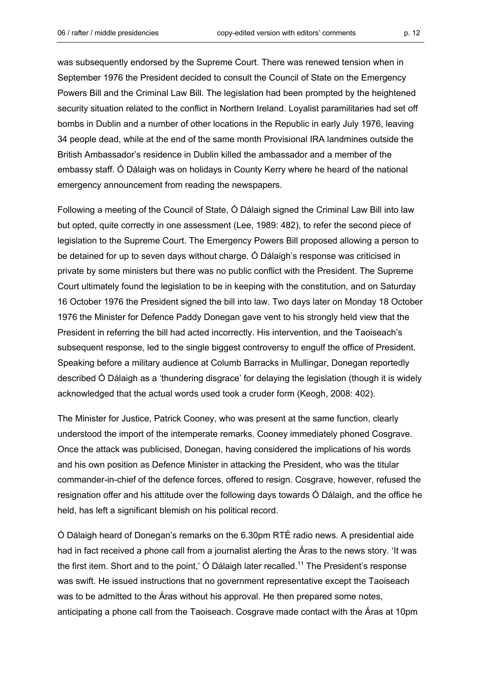was subsequently endorsed by the Supreme Court. There was renewed tension when in September 1976 the President decided to consult the Council of State on the Emergency Powers Bill and the Criminal Law Bill. The legislation had been prompted by the heightened security situation related to the conflict in Northern Ireland. Loyalist paramilitaries had set off bombs in Dublin and a number of other locations in the Republic in early July 1976, leaving 34 people dead, while at the end of the same month Provisional IRA landmines outside the British Ambassador's residence in Dublin killed the ambassador and a member of the embassy staff. Ó Dálaigh was on holidays in County Kerry where he heard of the national emergency announcement from reading the newspapers.

Following a meeting of the Council of State, Ó Dálaigh signed the Criminal Law Bill into law but opted, quite correctly in one assessment (Lee, 1989: 482), to refer the second piece of legislation to the Supreme Court. The Emergency Powers Bill proposed allowing a person to be detained for up to seven days without charge. Ó Dálaigh's response was criticised in private by some ministers but there was no public conflict with the President. The Supreme Court ultimately found the legislation to be in keeping with the constitution, and on Saturday 16 October 1976 the President signed the bill into law. Two days later on Monday 18 October 1976 the Minister for Defence Paddy Donegan gave vent to his strongly held view that the President in referring the bill had acted incorrectly. His intervention, and the Taoiseach's subsequent response, led to the single biggest controversy to engulf the office of President. Speaking before a military audience at Columb Barracks in Mullingar, Donegan reportedly described Ó Dálaigh as a 'thundering disgrace' for delaying the legislation (though it is widely acknowledged that the actual words used took a cruder form (Keogh, 2008: 402).

The Minister for Justice, Patrick Cooney, who was present at the same function, clearly understood the import of the intemperate remarks. Cooney immediately phoned Cosgrave. Once the attack was publicised, Donegan, having considered the implications of his words and his own position as Defence Minister in attacking the President, who was the titular commander-in-chief of the defence forces, offered to resign. Cosgrave, however, refused the resignation offer and his attitude over the following days towards Ó Dálaigh, and the office he held, has left a significant blemish on his political record.

Ó Dálaigh heard of Donegan's remarks on the 6.30pm RTÉ radio news. A presidential aide had in fact received a phone call from a journalist alerting the Áras to the news story. 'It was the first item. Short and to the point,'  $\acute{\text{O}}$  Dálaigh later recalled.<sup>11</sup> The President's response was swift. He issued instructions that no government representative except the Taoiseach was to be admitted to the Áras without his approval. He then prepared some notes, anticipating a phone call from the Taoiseach. Cosgrave made contact with the Áras at 10pm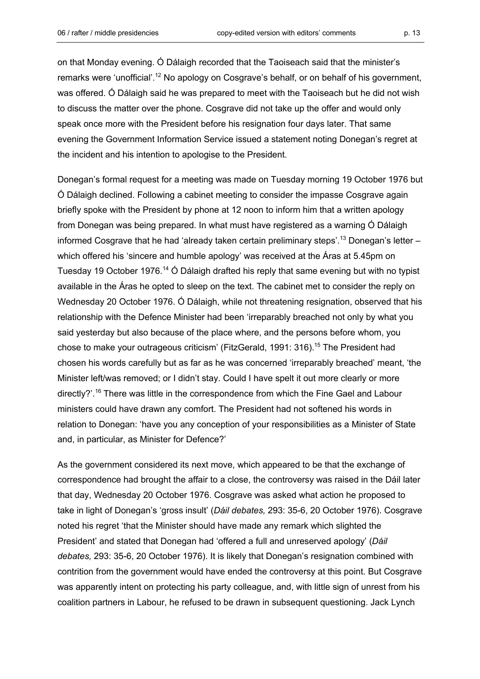on that Monday evening. Ó Dálaigh recorded that the Taoiseach said that the minister's remarks were 'unofficial'.<sup>12</sup> No apology on Cosgrave's behalf, or on behalf of his government, was offered. Ó Dálaigh said he was prepared to meet with the Taoiseach but he did not wish to discuss the matter over the phone. Cosgrave did not take up the offer and would only speak once more with the President before his resignation four days later. That same evening the Government Information Service issued a statement noting Donegan's regret at the incident and his intention to apologise to the President.

Donegan's formal request for a meeting was made on Tuesday morning 19 October 1976 but Ó Dálaigh declined. Following a cabinet meeting to consider the impasse Cosgrave again briefly spoke with the President by phone at 12 noon to inform him that a written apology from Donegan was being prepared. In what must have registered as a warning Ó Dálaigh informed Cosgrave that he had 'already taken certain preliminary steps'.<sup>13</sup> Donegan's letter – which offered his 'sincere and humble apology' was received at the Áras at 5.45pm on Tuesday 19 October 1976.<sup>14</sup> O Dálaigh drafted his reply that same evening but with no typist available in the Áras he opted to sleep on the text. The cabinet met to consider the reply on Wednesday 20 October 1976. Ó Dálaigh, while not threatening resignation, observed that his relationship with the Defence Minister had been 'irreparably breached not only by what you said yesterday but also because of the place where, and the persons before whom, you chose to make your outrageous criticism' (FitzGerald, 1991: 316).<sup>15</sup> The President had chosen his words carefully but as far as he was concerned 'irreparably breached' meant, 'the Minister left/was removed; or I didn't stay. Could I have spelt it out more clearly or more directly?'.<sup>16</sup> There was little in the correspondence from which the Fine Gael and Labour ministers could have drawn any comfort. The President had not softened his words in relation to Donegan: 'have you any conception of your responsibilities as a Minister of State and, in particular, as Minister for Defence?'

As the government considered its next move, which appeared to be that the exchange of correspondence had brought the affair to a close, the controversy was raised in the Dáil later that day, Wednesday 20 October 1976. Cosgrave was asked what action he proposed to take in light of Donegan's 'gross insult' (*Dáil debates,* 293: 35-6, 20 October 1976). Cosgrave noted his regret 'that the Minister should have made any remark which slighted the President' and stated that Donegan had 'offered a full and unreserved apology' (*Dáil debates,* 293: 35-6, 20 October 1976). It is likely that Donegan's resignation combined with contrition from the government would have ended the controversy at this point. But Cosgrave was apparently intent on protecting his party colleague, and, with little sign of unrest from his coalition partners in Labour, he refused to be drawn in subsequent questioning. Jack Lynch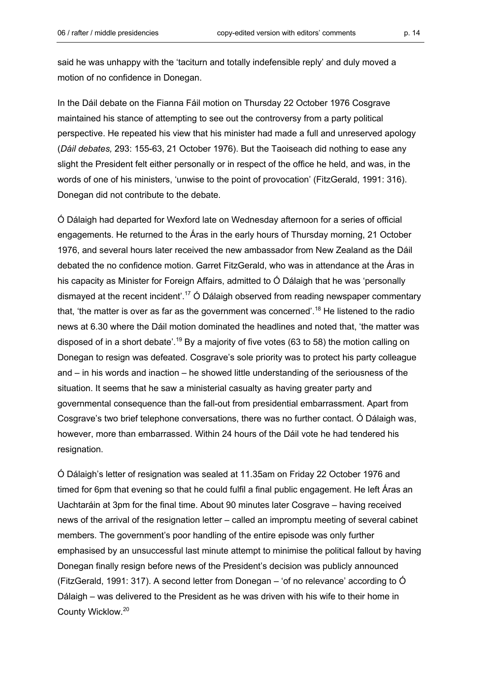said he was unhappy with the 'taciturn and totally indefensible reply' and duly moved a motion of no confidence in Donegan.

In the Dáil debate on the Fianna Fáil motion on Thursday 22 October 1976 Cosgrave maintained his stance of attempting to see out the controversy from a party political perspective. He repeated his view that his minister had made a full and unreserved apology (*Dáil debates,* 293: 155-63, 21 October 1976). But the Taoiseach did nothing to ease any slight the President felt either personally or in respect of the office he held, and was, in the words of one of his ministers, 'unwise to the point of provocation' (FitzGerald, 1991: 316). Donegan did not contribute to the debate.

Ó Dálaigh had departed for Wexford late on Wednesday afternoon for a series of official engagements. He returned to the Áras in the early hours of Thursday morning, 21 October 1976, and several hours later received the new ambassador from New Zealand as the Dáil debated the no confidence motion. Garret FitzGerald, who was in attendance at the Áras in his capacity as Minister for Foreign Affairs, admitted to Ó Dálaigh that he was 'personally dismayed at the recent incident'.<sup>17</sup> Ó Dálaigh observed from reading newspaper commentary that, 'the matter is over as far as the government was concerned'.<sup>18</sup> He listened to the radio news at 6.30 where the Dáil motion dominated the headlines and noted that, 'the matter was disposed of in a short debate'.<sup>19</sup> By a majority of five votes (63 to 58) the motion calling on Donegan to resign was defeated. Cosgrave's sole priority was to protect his party colleague and – in his words and inaction – he showed little understanding of the seriousness of the situation. It seems that he saw a ministerial casualty as having greater party and governmental consequence than the fall-out from presidential embarrassment. Apart from Cosgrave's two brief telephone conversations, there was no further contact. Ó Dálaigh was, however, more than embarrassed. Within 24 hours of the Dáil vote he had tendered his resignation.

Ó Dálaigh's letter of resignation was sealed at 11.35am on Friday 22 October 1976 and timed for 6pm that evening so that he could fulfil a final public engagement. He left Áras an Uachtaráin at 3pm for the final time. About 90 minutes later Cosgrave – having received news of the arrival of the resignation letter – called an impromptu meeting of several cabinet members. The government's poor handling of the entire episode was only further emphasised by an unsuccessful last minute attempt to minimise the political fallout by having Donegan finally resign before news of the President's decision was publicly announced (FitzGerald, 1991: 317). A second letter from Donegan – 'of no relevance' according to Ó Dálaigh – was delivered to the President as he was driven with his wife to their home in County Wicklow.<sup>20</sup>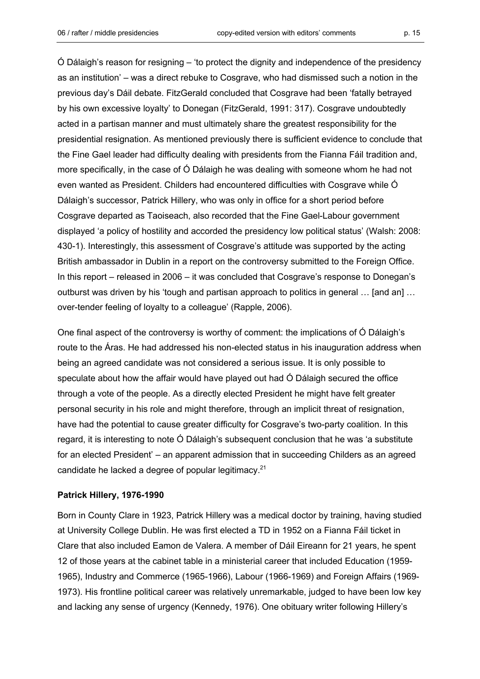Ó Dálaigh's reason for resigning – 'to protect the dignity and independence of the presidency as an institution' – was a direct rebuke to Cosgrave, who had dismissed such a notion in the previous day's Dáil debate. FitzGerald concluded that Cosgrave had been 'fatally betrayed by his own excessive loyalty' to Donegan (FitzGerald, 1991: 317). Cosgrave undoubtedly acted in a partisan manner and must ultimately share the greatest responsibility for the presidential resignation. As mentioned previously there is sufficient evidence to conclude that the Fine Gael leader had difficulty dealing with presidents from the Fianna Fáil tradition and, more specifically, in the case of Ó Dálaigh he was dealing with someone whom he had not even wanted as President. Childers had encountered difficulties with Cosgrave while Ó Dálaigh's successor, Patrick Hillery, who was only in office for a short period before Cosgrave departed as Taoiseach, also recorded that the Fine Gael-Labour government displayed 'a policy of hostility and accorded the presidency low political status' (Walsh: 2008: 430-1). Interestingly, this assessment of Cosgrave's attitude was supported by the acting British ambassador in Dublin in a report on the controversy submitted to the Foreign Office. In this report – released in 2006 – it was concluded that Cosgrave's response to Donegan's outburst was driven by his 'tough and partisan approach to politics in general ... [and an] ... over-tender feeling of loyalty to a colleague' (Rapple, 2006).

One final aspect of the controversy is worthy of comment: the implications of Ó Dálaigh's route to the Áras. He had addressed his non-elected status in his inauguration address when being an agreed candidate was not considered a serious issue. It is only possible to speculate about how the affair would have played out had Ó Dálaigh secured the office through a vote of the people. As a directly elected President he might have felt greater personal security in his role and might therefore, through an implicit threat of resignation, have had the potential to cause greater difficulty for Cosgrave's two-party coalition. In this regard, it is interesting to note Ó Dálaigh's subsequent conclusion that he was 'a substitute for an elected President' – an apparent admission that in succeeding Childers as an agreed candidate he lacked a degree of popular legitimacy. $21$ 

## **Patrick Hillery, 1976-1990**

Born in County Clare in 1923, Patrick Hillery was a medical doctor by training, having studied at University College Dublin. He was first elected a TD in 1952 on a Fianna Fáil ticket in Clare that also included Eamon de Valera. A member of Dáil Eireann for 21 years, he spent 12 of those years at the cabinet table in a ministerial career that included Education (1959- 1965), Industry and Commerce (1965-1966), Labour (1966-1969) and Foreign Affairs (1969- 1973). His frontline political career was relatively unremarkable, judged to have been low key and lacking any sense of urgency (Kennedy, 1976). One obituary writer following Hillery's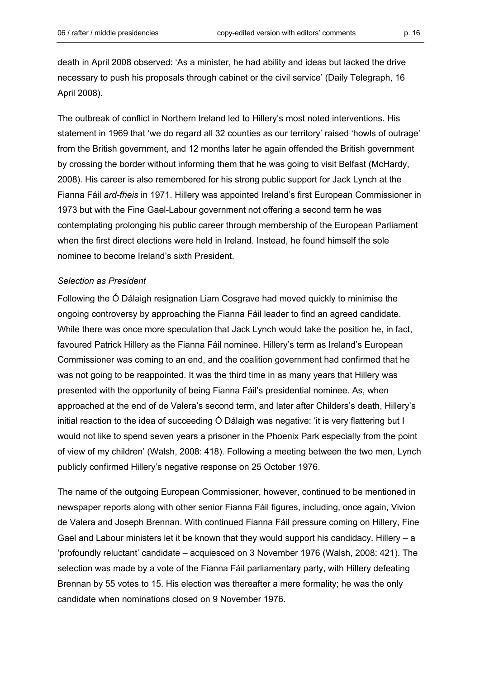death in April 2008 observed: 'As a minister, he had ability and ideas but lacked the drive necessary to push his proposals through cabinet or the civil service' (Daily Telegraph, 16 April 2008).

The outbreak of conflict in Northern Ireland led to Hillery's most noted interventions. His statement in 1969 that 'we do regard all 32 counties as our territory' raised 'howls of outrage' from the British government, and 12 months later he again offended the British government by crossing the border without informing them that he was going to visit Belfast (McHardy, 2008). His career is also remembered for his strong public support for Jack Lynch at the Fianna Fáil *ard-fheis* in 1971. Hillery was appointed Ireland's first European Commissioner in 1973 but with the Fine Gael-Labour government not offering a second term he was contemplating prolonging his public career through membership of the European Parliament when the first direct elections were held in Ireland. Instead, he found himself the sole nominee to become Ireland's sixth President.

# *Selection as President*

Following the Ó Dálaigh resignation Liam Cosgrave had moved quickly to minimise the ongoing controversy by approaching the Fianna Fáil leader to find an agreed candidate. While there was once more speculation that Jack Lynch would take the position he, in fact, favoured Patrick Hillery as the Fianna Fáil nominee. Hillery's term as Ireland's European Commissioner was coming to an end, and the coalition government had confirmed that he was not going to be reappointed. It was the third time in as many years that Hillery was presented with the opportunity of being Fianna Fáil's presidential nominee. As, when approached at the end of de Valera's second term, and later after Childers's death, Hillery's initial reaction to the idea of succeeding Ó Dálaigh was negative: 'it is very flattering but I would not like to spend seven years a prisoner in the Phoenix Park especially from the point of view of my children' (Walsh, 2008: 418). Following a meeting between the two men, Lynch publicly confirmed Hillery's negative response on 25 October 1976.

The name of the outgoing European Commissioner, however, continued to be mentioned in newspaper reports along with other senior Fianna Fáil figures, including, once again, Vivion de Valera and Joseph Brennan. With continued Fianna Fáil pressure coming on Hillery, Fine Gael and Labour ministers let it be known that they would support his candidacy. Hillery – a 'profoundly reluctant' candidate – acquiesced on 3 November 1976 (Walsh, 2008: 421). The selection was made by a vote of the Fianna Fáil parliamentary party, with Hillery defeating Brennan by 55 votes to 15. His election was thereafter a mere formality; he was the only candidate when nominations closed on 9 November 1976.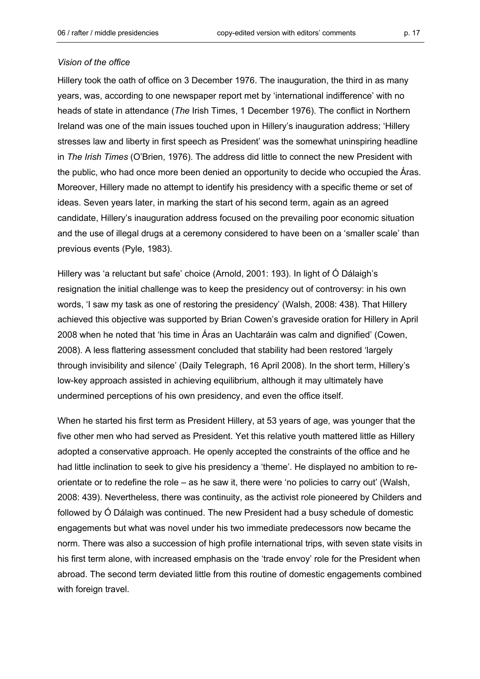## *Vision of the office*

Hillery took the oath of office on 3 December 1976. The inauguration, the third in as many years, was, according to one newspaper report met by 'international indifference' with no heads of state in attendance (*The* Irish Times, 1 December 1976). The conflict in Northern Ireland was one of the main issues touched upon in Hillery's inauguration address; 'Hillery stresses law and liberty in first speech as President' was the somewhat uninspiring headline in *The Irish Times* (O'Brien, 1976). The address did little to connect the new President with the public, who had once more been denied an opportunity to decide who occupied the Áras. Moreover, Hillery made no attempt to identify his presidency with a specific theme or set of ideas. Seven years later, in marking the start of his second term, again as an agreed candidate, Hillery's inauguration address focused on the prevailing poor economic situation and the use of illegal drugs at a ceremony considered to have been on a 'smaller scale' than previous events (Pyle, 1983).

Hillery was 'a reluctant but safe' choice (Arnold, 2001: 193). In light of Ó Dálaigh's resignation the initial challenge was to keep the presidency out of controversy: in his own words, 'I saw my task as one of restoring the presidency' (Walsh, 2008: 438). That Hillery achieved this objective was supported by Brian Cowen's graveside oration for Hillery in April 2008 when he noted that 'his time in Áras an Uachtaráin was calm and dignified' (Cowen, 2008). A less flattering assessment concluded that stability had been restored 'largely through invisibility and silence' (Daily Telegraph, 16 April 2008). In the short term, Hillery's low-key approach assisted in achieving equilibrium, although it may ultimately have undermined perceptions of his own presidency, and even the office itself.

When he started his first term as President Hillery, at 53 years of age, was younger that the five other men who had served as President. Yet this relative youth mattered little as Hillery adopted a conservative approach. He openly accepted the constraints of the office and he had little inclination to seek to give his presidency a 'theme'. He displayed no ambition to reorientate or to redefine the role – as he saw it, there were 'no policies to carry out' (Walsh, 2008: 439). Nevertheless, there was continuity, as the activist role pioneered by Childers and followed by Ó Dálaigh was continued. The new President had a busy schedule of domestic engagements but what was novel under his two immediate predecessors now became the norm. There was also a succession of high profile international trips, with seven state visits in his first term alone, with increased emphasis on the 'trade envoy' role for the President when abroad. The second term deviated little from this routine of domestic engagements combined with foreign travel.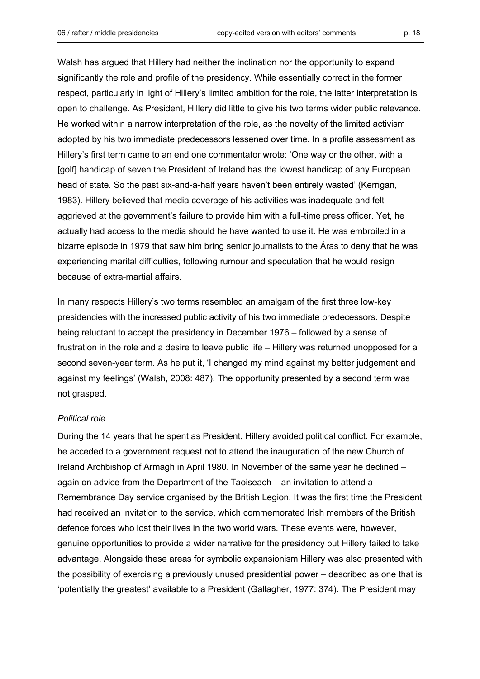Walsh has argued that Hillery had neither the inclination nor the opportunity to expand significantly the role and profile of the presidency. While essentially correct in the former respect, particularly in light of Hillery's limited ambition for the role, the latter interpretation is open to challenge. As President, Hillery did little to give his two terms wider public relevance. He worked within a narrow interpretation of the role, as the novelty of the limited activism adopted by his two immediate predecessors lessened over time. In a profile assessment as Hillery's first term came to an end one commentator wrote: 'One way or the other, with a [golf] handicap of seven the President of Ireland has the lowest handicap of any European head of state. So the past six-and-a-half years haven't been entirely wasted' (Kerrigan, 1983). Hillery believed that media coverage of his activities was inadequate and felt aggrieved at the government's failure to provide him with a full-time press officer. Yet, he actually had access to the media should he have wanted to use it. He was embroiled in a bizarre episode in 1979 that saw him bring senior journalists to the Áras to deny that he was experiencing marital difficulties, following rumour and speculation that he would resign because of extra-martial affairs.

In many respects Hillery's two terms resembled an amalgam of the first three low-key presidencies with the increased public activity of his two immediate predecessors. Despite being reluctant to accept the presidency in December 1976 – followed by a sense of frustration in the role and a desire to leave public life – Hillery was returned unopposed for a second seven-year term. As he put it, 'I changed my mind against my better judgement and against my feelings' (Walsh, 2008: 487). The opportunity presented by a second term was not grasped.

## *Political role*

During the 14 years that he spent as President, Hillery avoided political conflict. For example, he acceded to a government request not to attend the inauguration of the new Church of Ireland Archbishop of Armagh in April 1980. In November of the same year he declined – again on advice from the Department of the Taoiseach – an invitation to attend a Remembrance Day service organised by the British Legion. It was the first time the President had received an invitation to the service, which commemorated Irish members of the British defence forces who lost their lives in the two world wars. These events were, however, genuine opportunities to provide a wider narrative for the presidency but Hillery failed to take advantage. Alongside these areas for symbolic expansionism Hillery was also presented with the possibility of exercising a previously unused presidential power – described as one that is 'potentially the greatest' available to a President (Gallagher, 1977: 374). The President may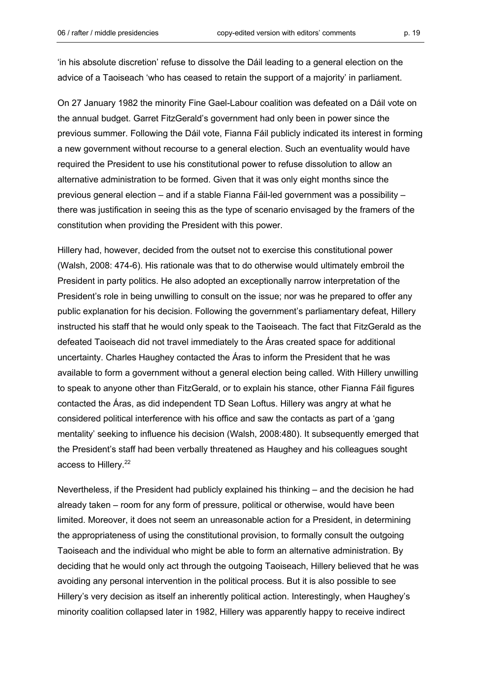'in his absolute discretion' refuse to dissolve the Dáil leading to a general election on the advice of a Taoiseach 'who has ceased to retain the support of a majority' in parliament.

On 27 January 1982 the minority Fine Gael-Labour coalition was defeated on a Dáil vote on the annual budget. Garret FitzGerald's government had only been in power since the previous summer. Following the Dáil vote, Fianna Fáil publicly indicated its interest in forming a new government without recourse to a general election. Such an eventuality would have required the President to use his constitutional power to refuse dissolution to allow an alternative administration to be formed. Given that it was only eight months since the previous general election – and if a stable Fianna Fáil-led government was a possibility – there was justification in seeing this as the type of scenario envisaged by the framers of the constitution when providing the President with this power.

Hillery had, however, decided from the outset not to exercise this constitutional power (Walsh, 2008: 474-6). His rationale was that to do otherwise would ultimately embroil the President in party politics. He also adopted an exceptionally narrow interpretation of the President's role in being unwilling to consult on the issue; nor was he prepared to offer any public explanation for his decision. Following the government's parliamentary defeat, Hillery instructed his staff that he would only speak to the Taoiseach. The fact that FitzGerald as the defeated Taoiseach did not travel immediately to the Áras created space for additional uncertainty. Charles Haughey contacted the Áras to inform the President that he was available to form a government without a general election being called. With Hillery unwilling to speak to anyone other than FitzGerald, or to explain his stance, other Fianna Fáil figures contacted the Áras, as did independent TD Sean Loftus. Hillery was angry at what he considered political interference with his office and saw the contacts as part of a 'gang mentality' seeking to influence his decision (Walsh, 2008:480). It subsequently emerged that the President's staff had been verbally threatened as Haughey and his colleagues sought access to Hillery.<sup>22</sup>

Nevertheless, if the President had publicly explained his thinking – and the decision he had already taken – room for any form of pressure, political or otherwise, would have been limited. Moreover, it does not seem an unreasonable action for a President, in determining the appropriateness of using the constitutional provision, to formally consult the outgoing Taoiseach and the individual who might be able to form an alternative administration. By deciding that he would only act through the outgoing Taoiseach, Hillery believed that he was avoiding any personal intervention in the political process. But it is also possible to see Hillery's very decision as itself an inherently political action. Interestingly, when Haughey's minority coalition collapsed later in 1982, Hillery was apparently happy to receive indirect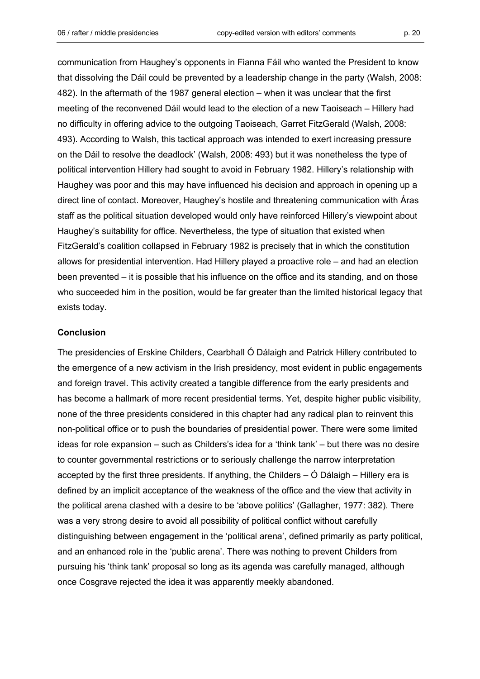communication from Haughey's opponents in Fianna Fáil who wanted the President to know that dissolving the Dáil could be prevented by a leadership change in the party (Walsh, 2008: 482). In the aftermath of the 1987 general election – when it was unclear that the first meeting of the reconvened Dáil would lead to the election of a new Taoiseach – Hillery had no difficulty in offering advice to the outgoing Taoiseach, Garret FitzGerald (Walsh, 2008: 493). According to Walsh, this tactical approach was intended to exert increasing pressure on the Dáil to resolve the deadlock' (Walsh, 2008: 493) but it was nonetheless the type of political intervention Hillery had sought to avoid in February 1982. Hillery's relationship with Haughey was poor and this may have influenced his decision and approach in opening up a direct line of contact. Moreover, Haughey's hostile and threatening communication with Áras staff as the political situation developed would only have reinforced Hillery's viewpoint about Haughey's suitability for office. Nevertheless, the type of situation that existed when FitzGerald's coalition collapsed in February 1982 is precisely that in which the constitution allows for presidential intervention. Had Hillery played a proactive role – and had an election been prevented – it is possible that his influence on the office and its standing, and on those who succeeded him in the position, would be far greater than the limited historical legacy that exists today.

# **Conclusion**

The presidencies of Erskine Childers, Cearbhall Ó Dálaigh and Patrick Hillery contributed to the emergence of a new activism in the Irish presidency, most evident in public engagements and foreign travel. This activity created a tangible difference from the early presidents and has become a hallmark of more recent presidential terms. Yet, despite higher public visibility, none of the three presidents considered in this chapter had any radical plan to reinvent this non-political office or to push the boundaries of presidential power. There were some limited ideas for role expansion – such as Childers's idea for a 'think tank' – but there was no desire to counter governmental restrictions or to seriously challenge the narrow interpretation accepted by the first three presidents. If anything, the Childers – Ó Dálaigh – Hillery era is defined by an implicit acceptance of the weakness of the office and the view that activity in the political arena clashed with a desire to be 'above politics' (Gallagher, 1977: 382). There was a very strong desire to avoid all possibility of political conflict without carefully distinguishing between engagement in the 'political arena', defined primarily as party political, and an enhanced role in the 'public arena'. There was nothing to prevent Childers from pursuing his 'think tank' proposal so long as its agenda was carefully managed, although once Cosgrave rejected the idea it was apparently meekly abandoned.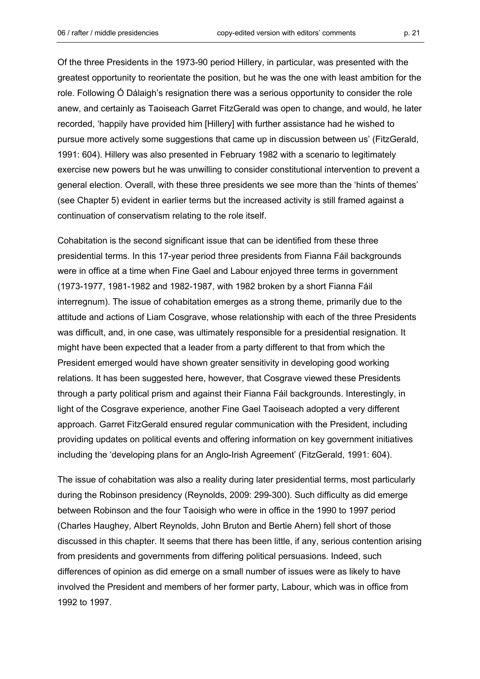Of the three Presidents in the 1973-90 period Hillery, in particular, was presented with the greatest opportunity to reorientate the position, but he was the one with least ambition for the role. Following Ó Dálaigh's resignation there was a serious opportunity to consider the role anew, and certainly as Taoiseach Garret FitzGerald was open to change, and would, he later recorded, 'happily have provided him [Hillery] with further assistance had he wished to pursue more actively some suggestions that came up in discussion between us' (FitzGerald, 1991: 604). Hillery was also presented in February 1982 with a scenario to legitimately exercise new powers but he was unwilling to consider constitutional intervention to prevent a general election. Overall, with these three presidents we see more than the 'hints of themes' (see Chapter 5) evident in earlier terms but the increased activity is still framed against a continuation of conservatism relating to the role itself.

Cohabitation is the second significant issue that can be identified from these three presidential terms. In this 17-year period three presidents from Fianna Fáil backgrounds were in office at a time when Fine Gael and Labour enjoyed three terms in government (1973-1977, 1981-1982 and 1982-1987, with 1982 broken by a short Fianna Fáil interregnum). The issue of cohabitation emerges as a strong theme, primarily due to the attitude and actions of Liam Cosgrave, whose relationship with each of the three Presidents was difficult, and, in one case, was ultimately responsible for a presidential resignation. It might have been expected that a leader from a party different to that from which the President emerged would have shown greater sensitivity in developing good working relations. It has been suggested here, however, that Cosgrave viewed these Presidents through a party political prism and against their Fianna Fáil backgrounds. Interestingly, in light of the Cosgrave experience, another Fine Gael Taoiseach adopted a very different approach. Garret FitzGerald ensured regular communication with the President, including providing updates on political events and offering information on key government initiatives including the 'developing plans for an Anglo-Irish Agreement' (FitzGerald, 1991: 604).

The issue of cohabitation was also a reality during later presidential terms, most particularly during the Robinson presidency (Reynolds, 2009: 299-300). Such difficulty as did emerge between Robinson and the four Taoisigh who were in office in the 1990 to 1997 period (Charles Haughey, Albert Reynolds, John Bruton and Bertie Ahern) fell short of those discussed in this chapter. It seems that there has been little, if any, serious contention arising from presidents and governments from differing political persuasions. Indeed, such differences of opinion as did emerge on a small number of issues were as likely to have involved the President and members of her former party, Labour, which was in office from 1992 to 1997.